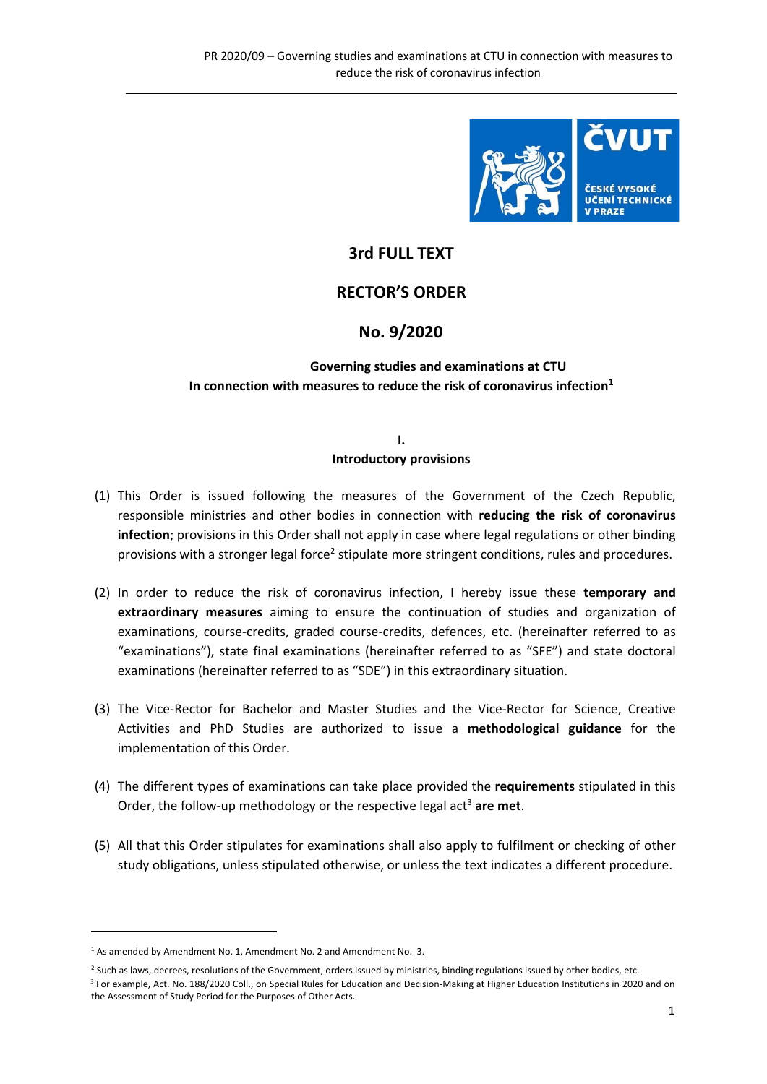

## **3rd FULL TEXT**

## **RECTOR'S ORDER**

## **No. 9/2020**

## **Governing studies and examinations at CTU In connection with measures to reduce the risk of coronavirus infection<sup>1</sup>**

#### **I. Introductory provisions**

- (1) This Order is issued following the measures of the Government of the Czech Republic, responsible ministries and other bodies in connection with **reducing the risk of coronavirus infection**; provisions in this Order shall not apply in case where legal regulations or other binding provisions with a stronger legal force<sup>2</sup> stipulate more stringent conditions, rules and procedures.
- (2) In order to reduce the risk of coronavirus infection, I hereby issue these **temporary and extraordinary measures**  aiming to ensure the continuation of studies and organization of examinations, course-credits, graded course-credits, defences, etc. (hereinafter referred to as "examinations"), state final examinations (hereinafter referred to as "SFE") and state doctoral examinations (hereinafter referred to as "SDE") in this extraordinary situation.
- (3) The Vice‐Rector for Bachelor and Master Studies and the Vice‐Rector for Science, Creative Activities and PhD Studies are authorized to issue a **methodological guidance**  for the implementation of this Order.
- (4) The different types of examinations can take place provided the **requirements** stipulated in this Order, the follow-up methodology or the respective legal act<sup>3</sup> are met.
- (5) All that this Order stipulates for examinations shall also apply to fulfilment or checking of other study obligations, unless stipulated otherwise, or unless the text indicates a different procedure.

 $<sup>1</sup>$  As amended by Amendment No. 1, Amendment No. 2 and Amendment No. 3.</sup>

<sup>&</sup>lt;sup>2</sup> Such as laws, decrees, resolutions of the Government, orders issued by ministries, binding regulations issued by other bodies, etc. 3 For example, Act. No. 188/2020 Coll., on Special Rules for Education and Decision‐Making at Higher Education Institutions in 2020 and on the Assessment of Study Period for the Purposes of Other Acts.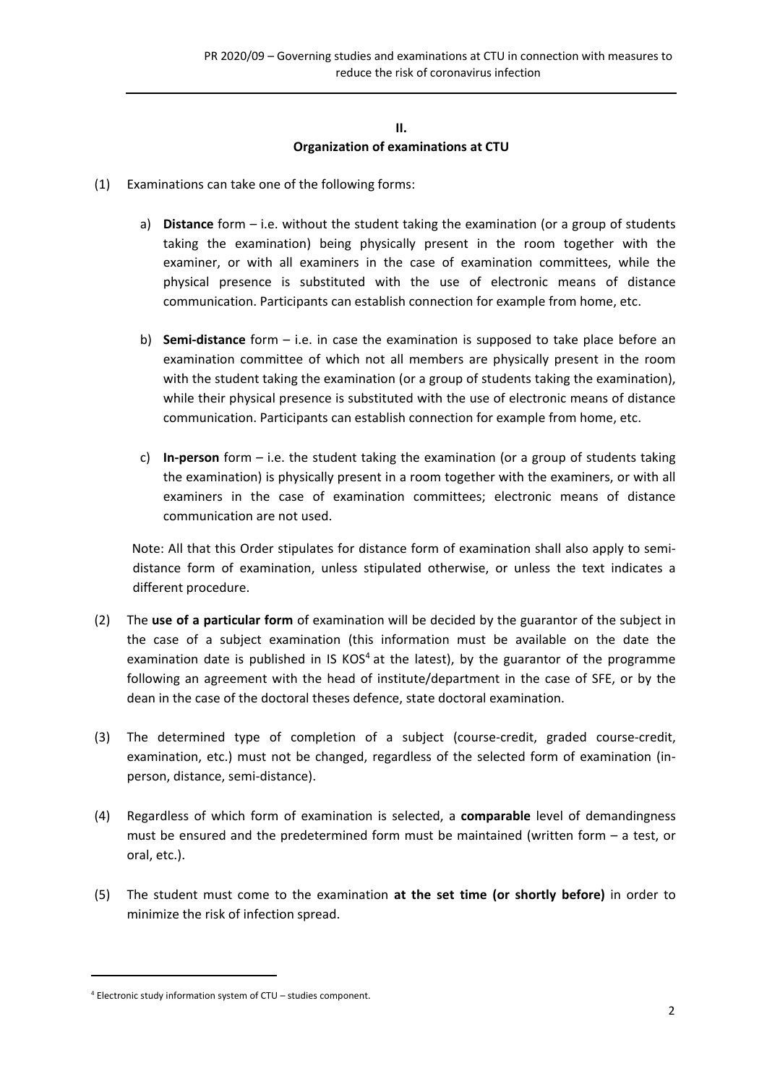#### **II. Organization of examinations at CTU**

- (1) Examinations can take one of the following forms:
	- a) **Distance** form i.e. without the student taking the examination (or a group of students taking the examination) being physically present in the room together with the examiner, or with all examiners in the case of examination committees, while the physical presence is substituted with the use of electronic means of distance communication. Participants can establish connection for example from home, etc.
	- b) **Semi-distance** form i.e. in case the examination is supposed to take place before an examination committee of which not all members are physically present in the room with the student taking the examination (or a group of students taking the examination), while their physical presence is substituted with the use of electronic means of distance communication. Participants can establish connection for example from home, etc.
	- c) **In‐person** form i.e. the student taking the examination (or a group of students taking the examination) is physically present in a room together with the examiners, or with all examiners in the case of examination committees; electronic means of distance communication are not used.

Note: All that this Order stipulates for distance form of examination shall also apply to semidistance form of examination, unless stipulated otherwise, or unless the text indicates a different procedure.

- (2) The **use of a particular form** of examination will be decided by the guarantor of the subject in the case of a subject examination (this information must be available on the date the examination date is published in IS KOS<sup>4</sup> at the latest), by the guarantor of the programme following an agreement with the head of institute/department in the case of SFE, or by the dean in the case of the doctoral theses defence, state doctoral examination.
- (3) The determined type of completion of a subject (course‐credit, graded course‐credit, examination, etc.) must not be changed, regardless of the selected form of examination (inperson, distance, semi‐distance).
- (4) Regardless of which form of examination is selected, a **comparable** level of demandingness must be ensured and the predetermined form must be maintained (written form – a test, or oral, etc.).
- (5) The student must come to the examination **at the set time (or shortly before)** in order to minimize the risk of infection spread.

<sup>4</sup> Electronic study information system of CTU – studies component.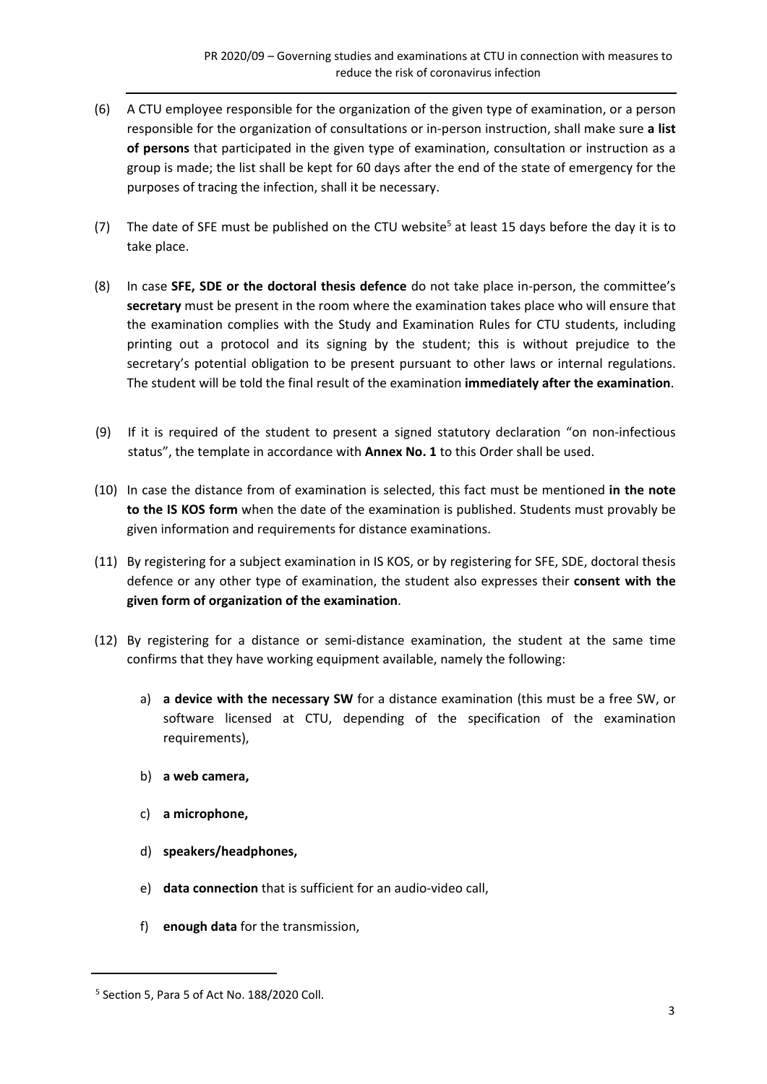- (6) A CTU employee responsible for the organization of the given type of examination, or a person responsible for the organization of consultations or in‐person instruction, shall make sure **a list of persons** that participated in the given type of examination, consultation or instruction as a group is made; the list shall be kept for 60 days after the end of the state of emergency for the purposes of tracing the infection, shall it be necessary.
- (7) The date of SFE must be published on the CTU website<sup>5</sup> at least 15 days before the day it is to take place.
- (8) In case **SFE, SDE or the doctoral thesis defence** do not take place in‐person, the committee's **secretary** must be present in the room where the examination takes place who will ensure that the examination complies with the Study and Examination Rules for CTU students, including printing out a protocol and its signing by the student; this is without prejudice to the secretary's potential obligation to be present pursuant to other laws or internal regulations. The student will be told the final result of the examination **immediately after the examination**.
- (9) If it is required of the student to present a signed statutory declaration "on non‐infectious status", the template in accordance with **Annex No. 1** to this Order shall be used.
- (10) In case the distance from of examination is selected, this fact must be mentioned **in the note to the IS KOS form** when the date of the examination is published. Students must provably be given information and requirements for distance examinations.
- (11) By registering for a subject examination in IS KOS, or by registering for SFE, SDE, doctoral thesis defence or any other type of examination, the student also expresses their **consent with the given form of organization of the examination**.
- (12) By registering for a distance or semi‐distance examination, the student at the same time confirms that they have working equipment available, namely the following:
	- a) **a device with the necessary SW** for a distance examination (this must be a free SW, or software licensed at CTU, depending of the specification of the examination requirements),
	- b) **a web camera,**
	- c) **a microphone,**
	- d) **speakers/headphones,**
	- e) **data connection** that is sufficient for an audio‐video call,
	- f) **enough data** for the transmission,

<sup>5</sup> Section 5, Para 5 of Act No. 188/2020 Coll.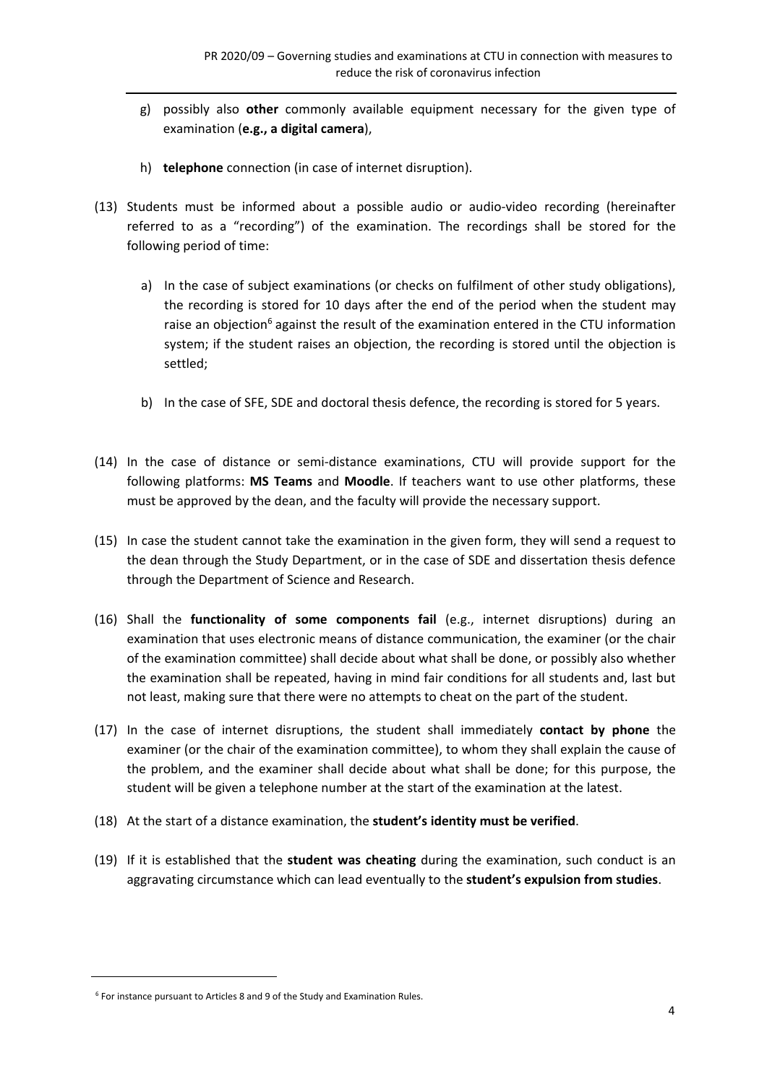- g) possibly also **other** commonly available equipment necessary for the given type of examination (**e.g., a digital camera**),
- h) **telephone** connection (in case of internet disruption).
- (13) Students must be informed about a possible audio or audio‐video recording (hereinafter referred to as a "recording") of the examination. The recordings shall be stored for the following period of time:
	- a) In the case of subject examinations (or checks on fulfilment of other study obligations), the recording is stored for 10 days after the end of the period when the student may raise an objection<sup>6</sup> against the result of the examination entered in the CTU information system; if the student raises an objection, the recording is stored until the objection is settled;
	- b) In the case of SFE, SDE and doctoral thesis defence, the recording is stored for 5 years.
- (14) In the case of distance or semi‐distance examinations, CTU will provide support for the following platforms: **MS Teams**  and **Moodle**. If teachers want to use other platforms, these must be approved by the dean, and the faculty will provide the necessary support.
- (15) In case the student cannot take the examination in the given form, they will send a request to the dean through the Study Department, or in the case of SDE and dissertation thesis defence through the Department of Science and Research.
- (16) Shall the **functionality of some components fail**  (e.g., internet disruptions) during an examination that uses electronic means of distance communication, the examiner (or the chair of the examination committee) shall decide about what shall be done, or possibly also whether the examination shall be repeated, having in mind fair conditions for all students and, last but not least, making sure that there were no attempts to cheat on the part of the student.
- (17) In the case of internet disruptions, the student shall immediately **contact by phone**  the examiner (or the chair of the examination committee), to whom they shall explain the cause of the problem, and the examiner shall decide about what shall be done; for this purpose, the student will be given a telephone number at the start of the examination at the latest.
- (18) At the start of a distance examination, the **student's identity must be verified**.
- (19) If it is established that the **student was cheating** during the examination, such conduct is an aggravating circumstance which can lead eventually to the **student's expulsion from studies**.

<sup>&</sup>lt;sup>6</sup> For instance pursuant to Articles 8 and 9 of the Study and Examination Rules.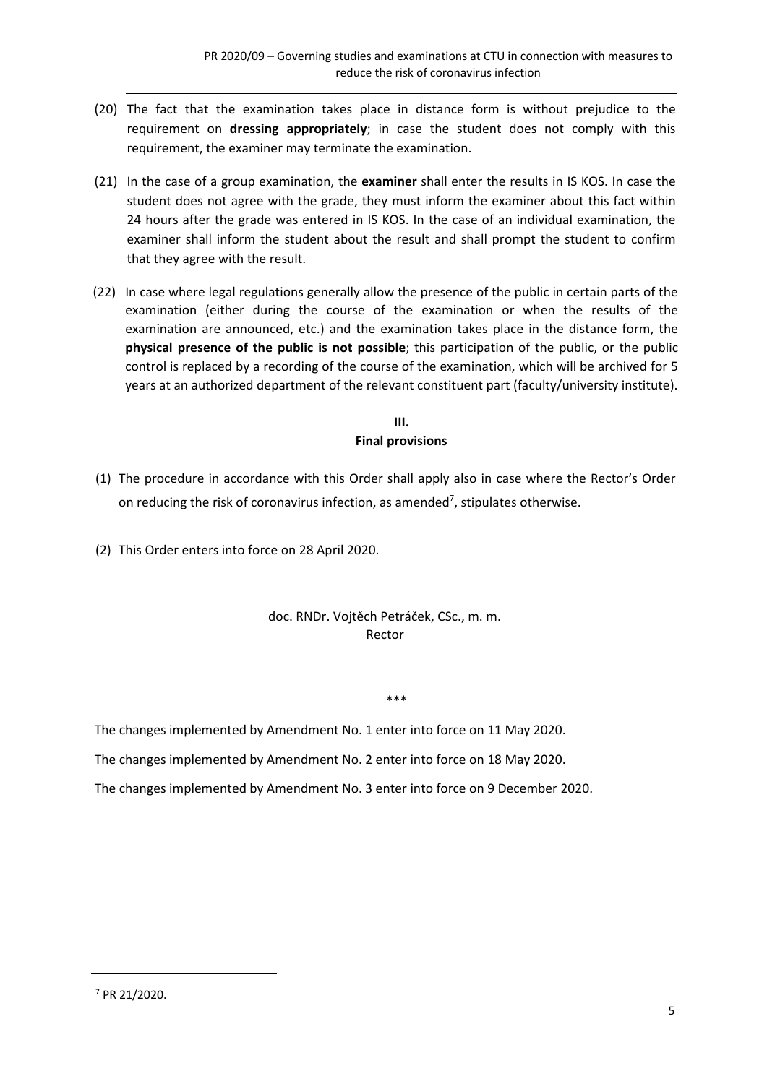- (20) The fact that the examination takes place in distance form is without prejudice to the requirement on **dressing appropriately**; in case the student does not comply with this requirement, the examiner may terminate the examination.
- (21) In the case of a group examination, the **examiner** shall enter the results in IS KOS. In case the student does not agree with the grade, they must inform the examiner about this fact within 24 hours after the grade was entered in IS KOS. In the case of an individual examination, the examiner shall inform the student about the result and shall prompt the student to confirm that they agree with the result.
- (22) In case where legal regulations generally allow the presence of the public in certain parts of the examination (either during the course of the examination or when the results of the examination are announced, etc.) and the examination takes place in the distance form, the **physical presence of the public is not possible**; this participation of the public, or the public control is replaced by a recording of the course of the examination, which will be archived for 5 years at an authorized department of the relevant constituent part (faculty/university institute).

#### **III. Final provisions**

- (1) The procedure in accordance with this Order shall apply also in case where the Rector's Order on reducing the risk of coronavirus infection, as amended<sup>7</sup>, stipulates otherwise.
- (2) This Order enters into force on 28 April 2020.

### doc. RNDr. Vojtěch Petráček, CSc., m. m. Rector

#### \*\*\*

The changes implemented by Amendment No. 1 enter into force on 11 May 2020.

The changes implemented by Amendment No. 2 enter into force on 18 May 2020.

The changes implemented by Amendment No. 3 enter into force on 9 December 2020.

<sup>7</sup> PR 21/2020.